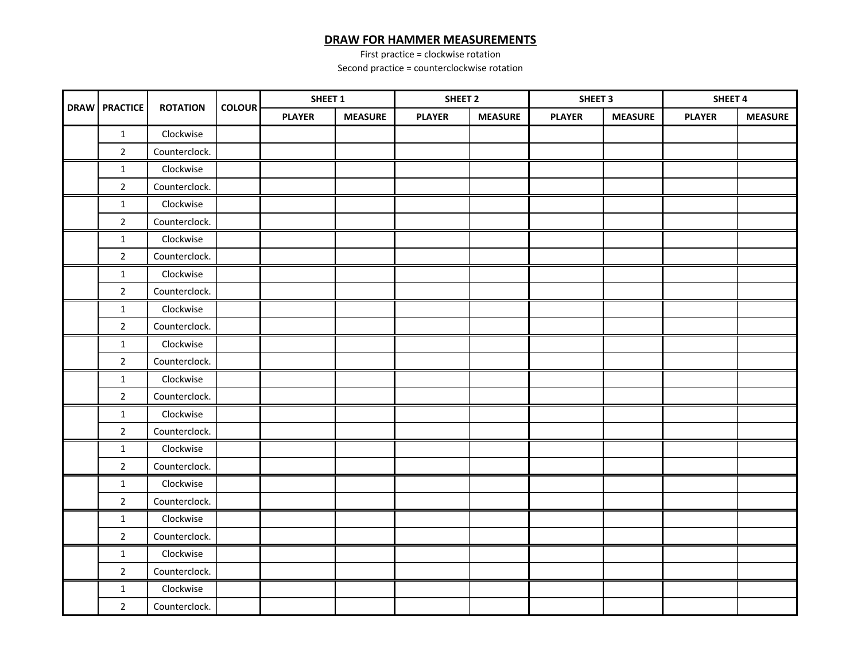## **DRAW FOR HAMMER MEASUREMENTS**

First practice = clockwise rotation

Second practice = counterclockwise rotation

| <b>DRAW</b> | <b>PRACTICE</b> | <b>ROTATION</b> | <b>COLOUR</b> | SHEET <sub>1</sub> |                | SHEET <sub>2</sub> |                | SHEET <sub>3</sub> |                | SHEET <sub>4</sub> |                |
|-------------|-----------------|-----------------|---------------|--------------------|----------------|--------------------|----------------|--------------------|----------------|--------------------|----------------|
|             |                 |                 |               | <b>PLAYER</b>      | <b>MEASURE</b> | <b>PLAYER</b>      | <b>MEASURE</b> | <b>PLAYER</b>      | <b>MEASURE</b> | <b>PLAYER</b>      | <b>MEASURE</b> |
|             | $\mathbf{1}$    | Clockwise       |               |                    |                |                    |                |                    |                |                    |                |
|             | $\overline{2}$  | Counterclock.   |               |                    |                |                    |                |                    |                |                    |                |
|             | $\mathbf{1}$    | Clockwise       |               |                    |                |                    |                |                    |                |                    |                |
|             | $\overline{2}$  | Counterclock.   |               |                    |                |                    |                |                    |                |                    |                |
|             | $\mathbf{1}$    | Clockwise       |               |                    |                |                    |                |                    |                |                    |                |
|             | $\overline{2}$  | Counterclock.   |               |                    |                |                    |                |                    |                |                    |                |
|             | $\mathbf{1}$    | Clockwise       |               |                    |                |                    |                |                    |                |                    |                |
|             | $\overline{2}$  | Counterclock.   |               |                    |                |                    |                |                    |                |                    |                |
|             | $\mathbf{1}$    | Clockwise       |               |                    |                |                    |                |                    |                |                    |                |
|             | $\overline{2}$  | Counterclock.   |               |                    |                |                    |                |                    |                |                    |                |
|             | $\mathbf{1}$    | Clockwise       |               |                    |                |                    |                |                    |                |                    |                |
|             | $\overline{2}$  | Counterclock.   |               |                    |                |                    |                |                    |                |                    |                |
|             | $\mathbf{1}$    | Clockwise       |               |                    |                |                    |                |                    |                |                    |                |
|             | $\overline{2}$  | Counterclock.   |               |                    |                |                    |                |                    |                |                    |                |
|             | $1\,$           | Clockwise       |               |                    |                |                    |                |                    |                |                    |                |
|             | $\overline{2}$  | Counterclock.   |               |                    |                |                    |                |                    |                |                    |                |
|             | $\mathbf{1}$    | Clockwise       |               |                    |                |                    |                |                    |                |                    |                |
|             | $\overline{2}$  | Counterclock.   |               |                    |                |                    |                |                    |                |                    |                |
|             | $\mathbf{1}$    | Clockwise       |               |                    |                |                    |                |                    |                |                    |                |
|             | $\overline{2}$  | Counterclock.   |               |                    |                |                    |                |                    |                |                    |                |
|             | $\mathbf{1}$    | Clockwise       |               |                    |                |                    |                |                    |                |                    |                |
|             | $\overline{2}$  | Counterclock.   |               |                    |                |                    |                |                    |                |                    |                |
|             | $\mathbf{1}$    | Clockwise       |               |                    |                |                    |                |                    |                |                    |                |
|             | $\overline{2}$  | Counterclock.   |               |                    |                |                    |                |                    |                |                    |                |
|             | $\mathbf{1}$    | Clockwise       |               |                    |                |                    |                |                    |                |                    |                |
|             | $\overline{2}$  | Counterclock.   |               |                    |                |                    |                |                    |                |                    |                |
|             | $\mathbf{1}$    | Clockwise       |               |                    |                |                    |                |                    |                |                    |                |
|             | $\overline{2}$  | Counterclock.   |               |                    |                |                    |                |                    |                |                    |                |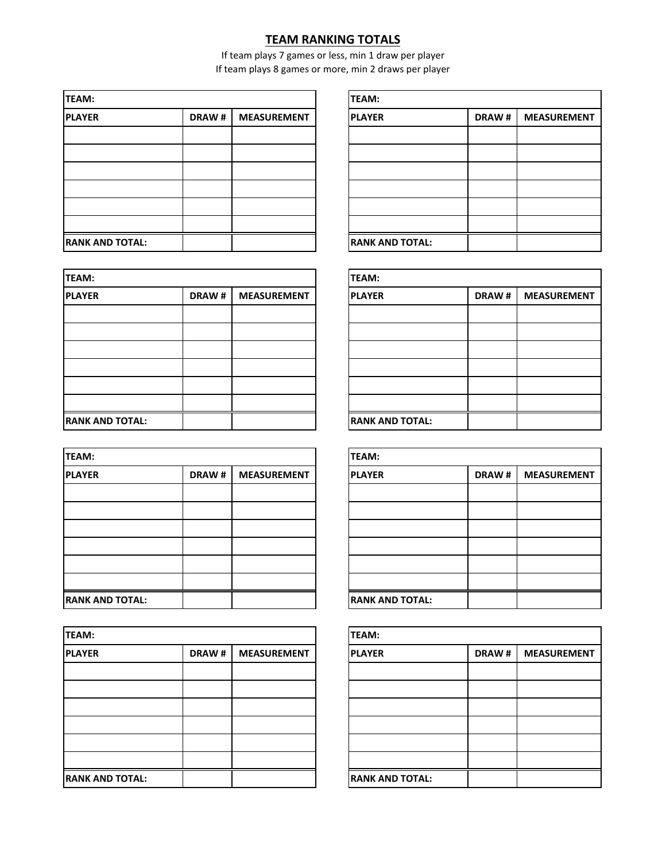## **TEAM RANKING TOTALS**

If team plays 7 games or less, min 1 draw per player If team plays 8 games or more, min 2 draws per player

| <b>TEAM:</b>           |              |                    | <b>TEAM:</b>           |              |                    |  |
|------------------------|--------------|--------------------|------------------------|--------------|--------------------|--|
| <b>PLAYER</b>          | <b>DRAW#</b> | <b>MEASUREMENT</b> | <b>PLAYER</b>          | <b>DRAW#</b> | <b>MEASUREMENT</b> |  |
|                        |              |                    |                        |              |                    |  |
|                        |              |                    |                        |              |                    |  |
|                        |              |                    |                        |              |                    |  |
|                        |              |                    |                        |              |                    |  |
|                        |              |                    |                        |              |                    |  |
|                        |              |                    |                        |              |                    |  |
| <b>RANK AND TOTAL:</b> |              |                    | <b>RANK AND TOTAL:</b> |              |                    |  |

| TEAM:                  |       |                    | <b>TEAM:</b>           |              |                    |  |
|------------------------|-------|--------------------|------------------------|--------------|--------------------|--|
| <b>PLAYER</b>          | DRAW# | <b>MEASUREMENT</b> | <b>PLAYER</b>          | <b>DRAW#</b> | <b>MEASUREMENT</b> |  |
|                        |       |                    |                        |              |                    |  |
|                        |       |                    |                        |              |                    |  |
|                        |       |                    |                        |              |                    |  |
|                        |       |                    |                        |              |                    |  |
|                        |       |                    |                        |              |                    |  |
|                        |       |                    |                        |              |                    |  |
| <b>RANK AND TOTAL:</b> |       |                    | <b>RANK AND TOTAL:</b> |              |                    |  |

| <b>TEAM:</b>           |              |                    | TEAM:                  |              |                    |  |
|------------------------|--------------|--------------------|------------------------|--------------|--------------------|--|
| <b>PLAYER</b>          | <b>DRAW#</b> | <b>MEASUREMENT</b> | <b>PLAYER</b>          | <b>DRAW#</b> | <b>MEASUREMENT</b> |  |
|                        |              |                    |                        |              |                    |  |
|                        |              |                    |                        |              |                    |  |
|                        |              |                    |                        |              |                    |  |
|                        |              |                    |                        |              |                    |  |
|                        |              |                    |                        |              |                    |  |
|                        |              |                    |                        |              |                    |  |
| <b>RANK AND TOTAL:</b> |              |                    | <b>RANK AND TOTAL:</b> |              |                    |  |

| <b>TEAM:</b>           |              |                    | <b>TEAM:</b>           |       |                    |  |
|------------------------|--------------|--------------------|------------------------|-------|--------------------|--|
| <b>PLAYER</b>          | <b>DRAW#</b> | <b>MEASUREMENT</b> | <b>PLAYER</b>          | DRAW# | <b>MEASUREMENT</b> |  |
|                        |              |                    |                        |       |                    |  |
|                        |              |                    |                        |       |                    |  |
|                        |              |                    |                        |       |                    |  |
|                        |              |                    |                        |       |                    |  |
|                        |              |                    |                        |       |                    |  |
|                        |              |                    |                        |       |                    |  |
| <b>RANK AND TOTAL:</b> |              |                    | <b>RANK AND TOTAL:</b> |       |                    |  |

| <b>TEAM:</b>           |       |                    |
|------------------------|-------|--------------------|
| <b>PLAYER</b>          | DRAW# | <b>MEASUREMENT</b> |
|                        |       |                    |
|                        |       |                    |
|                        |       |                    |
|                        |       |                    |
|                        |       |                    |
|                        |       |                    |
| <b>RANK AND TOTAL:</b> |       |                    |

| TEAM:                  |       |                    |
|------------------------|-------|--------------------|
| <b>PLAYER</b>          | DRAW# | <b>MEASUREMENT</b> |
|                        |       |                    |
|                        |       |                    |
|                        |       |                    |
|                        |       |                    |
|                        |       |                    |
|                        |       |                    |
| <b>RANK AND TOTAL:</b> |       |                    |

| <b>TEAM:</b>           |       |                    |
|------------------------|-------|--------------------|
| <b>PLAYER</b>          | DRAW# | <b>MEASUREMENT</b> |
|                        |       |                    |
|                        |       |                    |
|                        |       |                    |
|                        |       |                    |
|                        |       |                    |
|                        |       |                    |
| <b>RANK AND TOTAL:</b> |       |                    |

| TEAM:                  |       |                    |
|------------------------|-------|--------------------|
| <b>PLAYER</b>          | DRAW# | <b>MEASUREMENT</b> |
|                        |       |                    |
|                        |       |                    |
|                        |       |                    |
|                        |       |                    |
|                        |       |                    |
|                        |       |                    |
| <b>RANK AND TOTAL:</b> |       |                    |